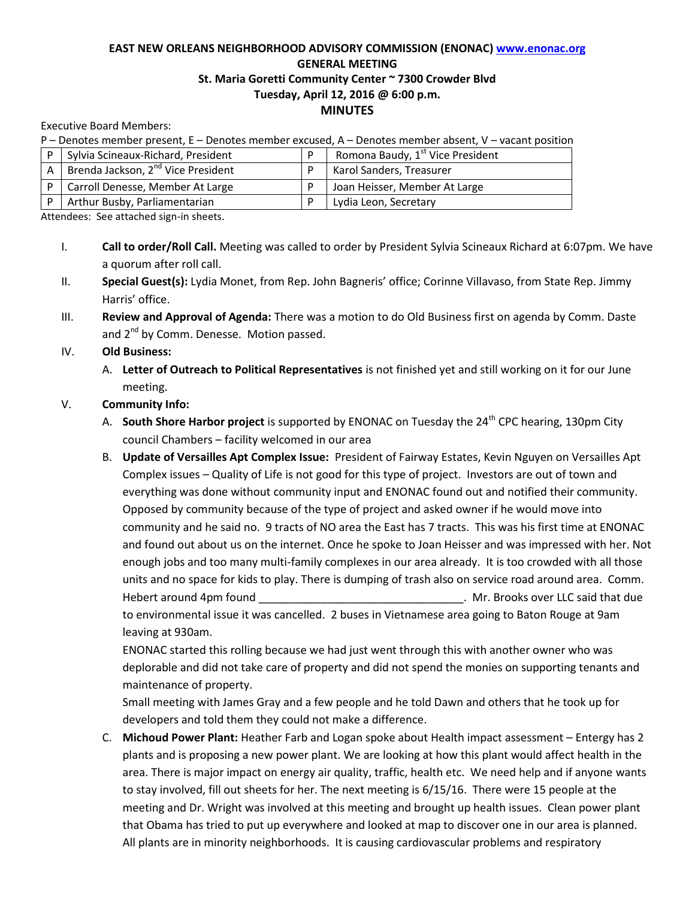## **EAST NEW ORLEANS NEIGHBORHOOD ADVISORY COMMISSION (ENONAC) [www.enonac.org](http://www.enonac.org/) GENERAL MEETING St. Maria Goretti Community Center ~ 7300 Crowder Blvd Tuesday, April 12, 2016 @ 6:00 p.m. MINUTES**

Executive Board Members:

| P – Denotes member present, E – Denotes member excused, A – Denotes member absent, V – vacant position |                                             |  |                                              |
|--------------------------------------------------------------------------------------------------------|---------------------------------------------|--|----------------------------------------------|
| D                                                                                                      | Sylvia Scineaux-Richard, President          |  | Romona Baudy, 1 <sup>st</sup> Vice President |
|                                                                                                        | A   Brenda Jackson, $2^{nd}$ Vice President |  | Karol Sanders, Treasurer                     |
|                                                                                                        | Carroll Denesse, Member At Large            |  | Joan Heisser, Member At Large                |
|                                                                                                        | Arthur Busby, Parliamentarian               |  | Lydia Leon, Secretary                        |

Attendees: See attached sign-in sheets.

- I. **Call to order/Roll Call.** Meeting was called to order by President Sylvia Scineaux Richard at 6:07pm. We have a quorum after roll call.
- II. **Special Guest(s):** Lydia Monet, from Rep. John Bagneris' office; Corinne Villavaso, from State Rep. Jimmy Harris' office.
- III. **Review and Approval of Agenda:** There was a motion to do Old Business first on agenda by Comm. Daste and  $2^{nd}$  by Comm. Denesse. Motion passed.
- IV. **Old Business:**
	- A. **Letter of Outreach to Political Representatives** is not finished yet and still working on it for our June meeting.

## V. **Community Info:**

- A. **South Shore Harbor project** is supported by ENONAC on Tuesday the 24<sup>th</sup> CPC hearing, 130pm City council Chambers – facility welcomed in our area
- B. **Update of Versailles Apt Complex Issue:** President of Fairway Estates, Kevin Nguyen on Versailles Apt Complex issues – Quality of Life is not good for this type of project. Investors are out of town and everything was done without community input and ENONAC found out and notified their community. Opposed by community because of the type of project and asked owner if he would move into community and he said no. 9 tracts of NO area the East has 7 tracts. This was his first time at ENONAC and found out about us on the internet. Once he spoke to Joan Heisser and was impressed with her. Not enough jobs and too many multi-family complexes in our area already. It is too crowded with all those units and no space for kids to play. There is dumping of trash also on service road around area. Comm. Hebert around 4pm found **that in the set of the set of the set of the set of the set of that due** that due to the set of the set of the set of the set of the set of the set of the set of the set of the set of the set of th to environmental issue it was cancelled. 2 buses in Vietnamese area going to Baton Rouge at 9am

leaving at 930am.

ENONAC started this rolling because we had just went through this with another owner who was deplorable and did not take care of property and did not spend the monies on supporting tenants and maintenance of property.

Small meeting with James Gray and a few people and he told Dawn and others that he took up for developers and told them they could not make a difference.

C. **Michoud Power Plant:** Heather Farb and Logan spoke about Health impact assessment – Entergy has 2 plants and is proposing a new power plant. We are looking at how this plant would affect health in the area. There is major impact on energy air quality, traffic, health etc. We need help and if anyone wants to stay involved, fill out sheets for her. The next meeting is 6/15/16. There were 15 people at the meeting and Dr. Wright was involved at this meeting and brought up health issues. Clean power plant that Obama has tried to put up everywhere and looked at map to discover one in our area is planned. All plants are in minority neighborhoods. It is causing cardiovascular problems and respiratory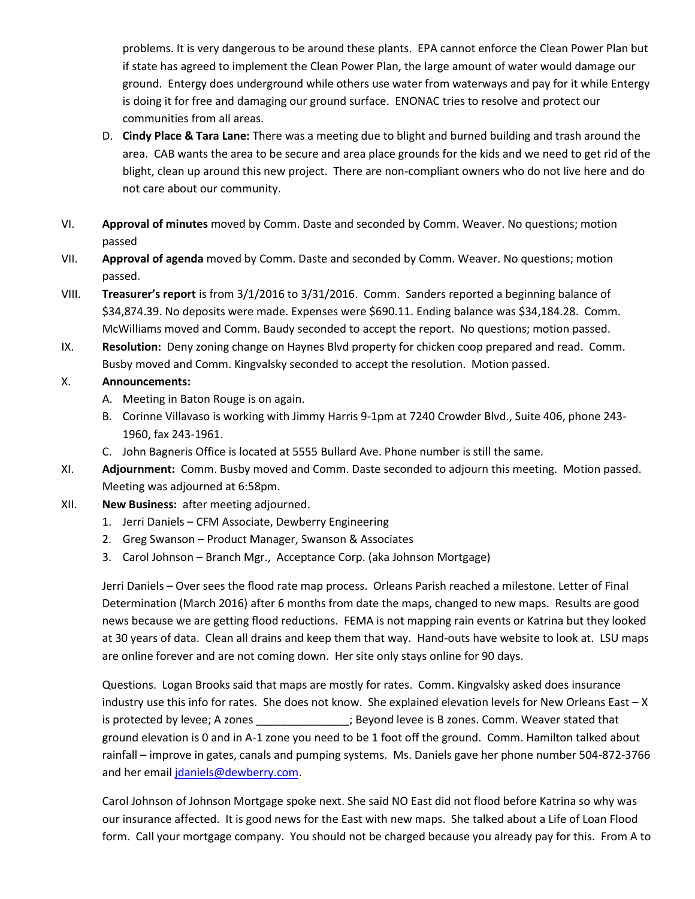problems. It is very dangerous to be around these plants. EPA cannot enforce the Clean Power Plan but if state has agreed to implement the Clean Power Plan, the large amount of water would damage our ground. Entergy does underground while others use water from waterways and pay for it while Entergy is doing it for free and damaging our ground surface. ENONAC tries to resolve and protect our communities from all areas.

- D. **Cindy Place & Tara Lane:** There was a meeting due to blight and burned building and trash around the area. CAB wants the area to be secure and area place grounds for the kids and we need to get rid of the blight, clean up around this new project. There are non-compliant owners who do not live here and do not care about our community.
- VI. **Approval of minutes** moved by Comm. Daste and seconded by Comm. Weaver. No questions; motion passed
- VII. **Approval of agenda** moved by Comm. Daste and seconded by Comm. Weaver. No questions; motion passed.
- VIII. **Treasurer's report** is from 3/1/2016 to 3/31/2016. Comm. Sanders reported a beginning balance of \$34,874.39. No deposits were made. Expenses were \$690.11. Ending balance was \$34,184.28. Comm. McWilliams moved and Comm. Baudy seconded to accept the report. No questions; motion passed.
- IX. **Resolution:** Deny zoning change on Haynes Blvd property for chicken coop prepared and read. Comm. Busby moved and Comm. Kingvalsky seconded to accept the resolution. Motion passed.

## X. **Announcements:**

- A. Meeting in Baton Rouge is on again.
- B. Corinne Villavaso is working with Jimmy Harris 9-1pm at 7240 Crowder Blvd., Suite 406, phone 243- 1960, fax 243-1961.
- C. John Bagneris Office is located at 5555 Bullard Ave. Phone number is still the same.
- XI. **Adjournment:** Comm. Busby moved and Comm. Daste seconded to adjourn this meeting. Motion passed. Meeting was adjourned at 6:58pm.
- XII. **New Business:** after meeting adjourned.
	- 1. Jerri Daniels CFM Associate, Dewberry Engineering
	- 2. Greg Swanson Product Manager, Swanson & Associates
	- 3. Carol Johnson Branch Mgr., Acceptance Corp. (aka Johnson Mortgage)

Jerri Daniels – Over sees the flood rate map process. Orleans Parish reached a milestone. Letter of Final Determination (March 2016) after 6 months from date the maps, changed to new maps. Results are good news because we are getting flood reductions. FEMA is not mapping rain events or Katrina but they looked at 30 years of data. Clean all drains and keep them that way. Hand-outs have website to look at. LSU maps are online forever and are not coming down. Her site only stays online for 90 days.

Questions. Logan Brooks said that maps are mostly for rates. Comm. Kingvalsky asked does insurance industry use this info for rates. She does not know. She explained elevation levels for New Orleans East – X is protected by levee; A zones \_\_\_\_\_\_\_\_\_\_\_\_\_; Beyond levee is B zones. Comm. Weaver stated that ground elevation is 0 and in A-1 zone you need to be 1 foot off the ground. Comm. Hamilton talked about rainfall – improve in gates, canals and pumping systems. Ms. Daniels gave her phone number 504-872-3766 and her email *idaniels@dewberry.com.* 

Carol Johnson of Johnson Mortgage spoke next. She said NO East did not flood before Katrina so why was our insurance affected. It is good news for the East with new maps. She talked about a Life of Loan Flood form. Call your mortgage company. You should not be charged because you already pay for this. From A to